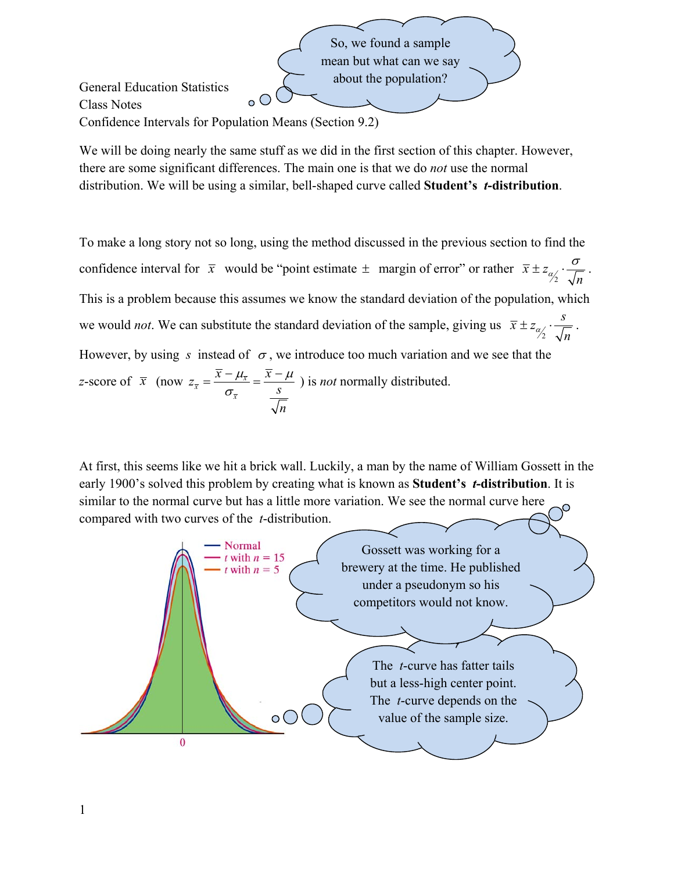So, we found a sample mean but what can we say about the population? General Education Statistics  $\circ$   $\circ$ Class Notes Confidence Intervals for Population Means (Section 9.2)

We will be doing nearly the same stuff as we did in the first section of this chapter. However, there are some significant differences. The main one is that we do *not* use the normal distribution. We will be using a similar, bell-shaped curve called **Student's** *t***-distribution**.

To make a long story not so long, using the method discussed in the previous section to find the confidence interval for  $\bar{x}$  would be "point estimate  $\pm$  margin of error" or rather  $\bar{x} \pm z_{\alpha/2}$  $\frac{\alpha}{2}$   $\sqrt{n}$  $\pm z_{\alpha} \cdot \frac{\sigma}{\sqrt{2}}$ . This is a problem because this assumes we know the standard deviation of the population, which we would *not*. We can substitute the standard deviation of the sample, giving us  $\bar{x} \pm z_{\alpha/2}$  $\overline{x} \pm z_{\alpha} \cdot \frac{s}{f}$ *n*  $\pm z_{\alpha} \cdot \frac{3}{\sqrt{2}}$ . However, by using s instead of  $\sigma$ , we introduce too much variation and we see that the *z*-score of  $\bar{x}$  (now  $z_{\bar{x}} = \frac{x - \mu_{\bar{x}}}{\sigma_{\bar{x}}}$ *x*  $z_{\overline{x}} = \frac{\overline{x} - \mu_{\overline{x}}}{\sigma_{\overline{x}}} = \frac{\overline{x} - \mu_{\overline{x}}}{s}$ *n*  $\mu_{\overline{x}}$   $x - \mu$  $=\frac{\overline{x}-\mu_{\overline{x}}}{\sigma_{\overline{x}}}=\frac{\overline{x}-\mu}{s}$  ) is *not* normally distributed.

At first, this seems like we hit a brick wall. Luckily, a man by the name of William Gossett in the early 1900's solved this problem by creating what is known as **Student's** *t***-distribution**. It is similar to the normal curve but has a little more variation. We see the normal curve here compared with two curves of the *t*-distribution.

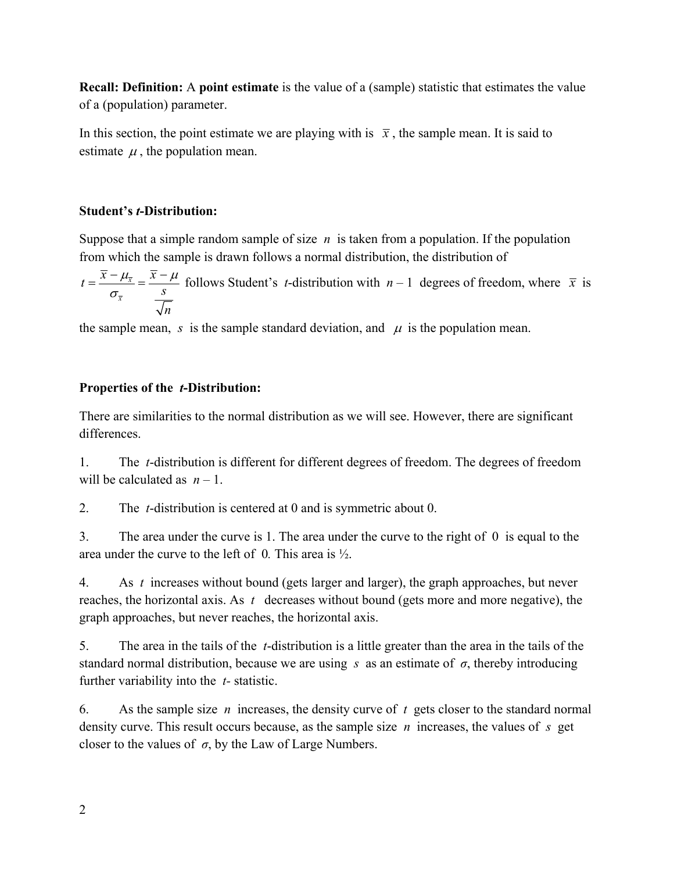**Recall: Definition:** A **point estimate** is the value of a (sample) statistic that estimates the value of a (population) parameter.

In this section, the point estimate we are playing with is  $\bar{x}$ , the sample mean. It is said to estimate  $\mu$ , the population mean.

### **Student's** *t***-Distribution:**

Suppose that a simple random sample of size *n* is taken from a population. If the population from which the sample is drawn follows a normal distribution, the distribution of

*x x*  $t = \frac{\overline{x} - \mu_{\overline{x}}}{\sigma_{\overline{x}}} = \frac{\overline{x} - \mu_{\overline{x}}}{s}$ *n*  $\mu_{\overline{x}}$   $x - \mu$  $f(x) = \frac{\overline{x} - \mu_{\overline{x}}}{\sigma_{\overline{x}}} = \frac{\overline{x} - \mu}{s}$  follows Student's *t*-distribution with  $n-1$  degrees of freedom, where  $\overline{x}$  is

the sample mean, *s* is the sample standard deviation, and  $\mu$  is the population mean.

## **Properties of the** *t***-Distribution:**

There are similarities to the normal distribution as we will see. However, there are significant differences.

1. The *t*-distribution is different for different degrees of freedom. The degrees of freedom will be calculated as  $n-1$ .

2. The *t*-distribution is centered at 0 and is symmetric about 0.

3. The area under the curve is 1. The area under the curve to the right of 0is equal to the area under the curve to the left of 0*.* This area is ½.

4. As *t* increases without bound (gets larger and larger), the graph approaches, but never reaches, the horizontal axis. As *t* decreases without bound (gets more and more negative), the graph approaches, but never reaches, the horizontal axis.

5. The area in the tails of the *t*-distribution is a little greater than the area in the tails of the standard normal distribution, because we are using *s* as an estimate of *σ*, thereby introducing further variability into the *t-* statistic.

6. As the sample size *n* increases, the density curve of *t* gets closer to the standard normal density curve. This result occurs because, as the sample size *n* increases, the values of *s* get closer to the values of  $\sigma$ , by the Law of Large Numbers.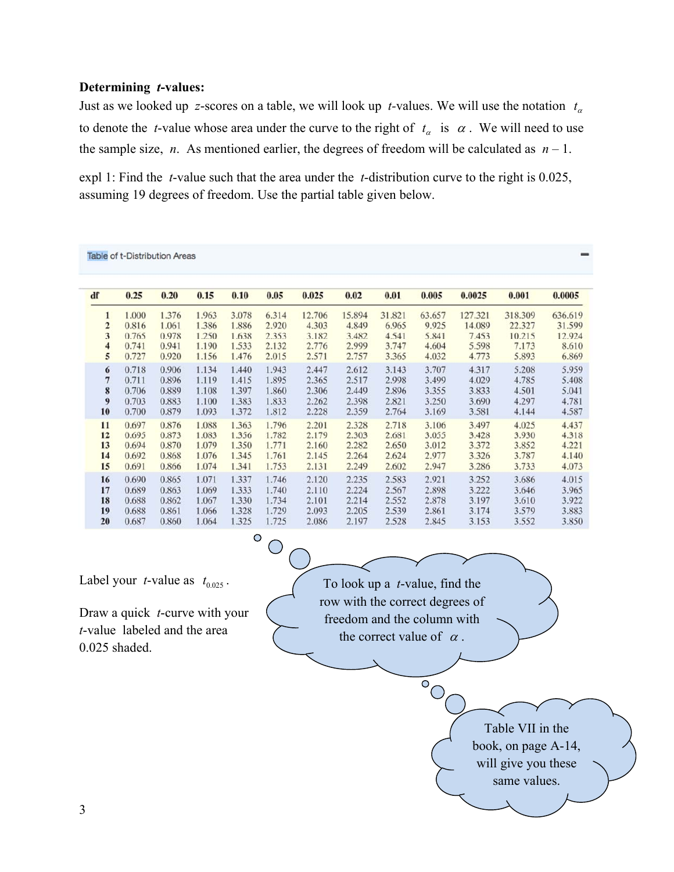#### **Determining** *t***-values:**

Just as we looked up z-scores on a table, we will look up *t*-values. We will use the notation  $t_{\alpha}$ to denote the *t*-value whose area under the curve to the right of  $t_{\alpha}$  is  $\alpha$ . We will need to use the sample size, *n*. As mentioned earlier, the degrees of freedom will be calculated as  $n-1$ .

expl 1: Find the *t*-value such that the area under the *t*-distribution curve to the right is 0.025, assuming 19 degrees of freedom. Use the partial table given below.

|                         | <b>Table of t-Distribution Areas</b> |       |       |       |       |        |        |        |        |         |         |         |
|-------------------------|--------------------------------------|-------|-------|-------|-------|--------|--------|--------|--------|---------|---------|---------|
| df                      | 0.25                                 | 0.20  | 0.15  | 0.10  | 0.05  | 0.025  | 0.02   | 0.01   | 0.005  | 0.0025  | 0.001   | 0.0005  |
| 1                       | 1.000                                | 1.376 | 1.963 | 3.078 | 6.314 | 12.706 | 15.894 | 31.821 | 63.657 | 127.321 | 318.309 | 636.619 |
| $\overline{\mathbf{c}}$ | 0.816                                | 1.061 | 1.386 | 1.886 | 2.920 | 4.303  | 4.849  | 6.965  | 9.925  | 14.089  | 22.327  | 31.599  |
| 3                       | 0.765                                | 0.978 | 1.250 | 1.638 | 2.353 | 3.182  | 3.482  | 4.541  | 5.841  | 7.453   | 10.215  | 12.924  |
| 4                       | 0.741                                | 0.941 | 1.190 | 1.533 | 2.132 | 2.776  | 2.999  | 3.747  | 4.604  | 5.598   | 7.173   | 8.610   |
| 5                       | 0.727                                | 0.920 | 1.156 | 1.476 | 2.015 | 2.571  | 2.757  | 3.365  | 4.032  | 4.773   | 5.893   | 6.869   |
| 6                       | 0.718                                | 0.906 | 1.134 | 1.440 | 1.943 | 2.447  | 2.612  | 3.143  | 3.707  | 4.317   | 5.208   | 5.959   |
| 7                       | 0.711                                | 0.896 | 1.119 | 1.415 | 1.895 | 2.365  | 2.517  | 2.998  | 3.499  | 4.029   | 4.785   | 5.408   |
| 8                       | 0.706                                | 0.889 | 1.108 | 1.397 | 1.860 | 2.306  | 2.449  | 2.896  | 3.355  | 3.833   | 4.501   | 5.041   |
| 9                       | 0.703                                | 0.883 | 1.100 | 1.383 | 1.833 | 2.262  | 2.398  | 2.821  | 3.250  | 3.690   | 4.297   | 4.781   |
| 10                      | 0.700                                | 0.879 | 1.093 | 1.372 | 1.812 | 2.228  | 2.359  | 2.764  | 3.169  | 3.581   | 4.144   | 4.587   |
| 11                      | 0.697                                | 0.876 | 1.088 | 1.363 | 1.796 | 2.201  | 2.328  | 2.718  | 3.106  | 3.497   | 4.025   | 4.437   |
| 12                      | 0.695                                | 0.873 | 1.083 | 1.356 | 1.782 | 2.179  | 2.303  | 2.681  | 3.055  | 3.428   | 3.930   | 4.318   |
| 13                      | 0.694                                | 0.870 | 1.079 | 1.350 | 1.771 | 2.160  | 2.282  | 2.650  | 3.012  | 3.372   | 3.852   | 4.221   |
| 14                      | 0.692                                | 0.868 | 1.076 | 1.345 | 1.761 | 2.145  | 2.264  | 2.624  | 2.977  | 3.326   | 3.787   | 4.140   |
| 15                      | 0.691                                | 0.866 | 1.074 | 1.341 | 1.753 | 2.131  | 2.249  | 2.602  | 2.947  | 3.286   | 3.733   | 4.073   |
| 16                      | 0.690                                | 0.865 | 1.071 | 1.337 | 1.746 | 2.120  | 2.235  | 2.583  | 2.921  | 3.252   | 3.686   | 4.015   |
| 17                      | 0.689                                | 0.863 | 1.069 | 1.333 | 1.740 | 2.110  | 2.224  | 2.567  | 2.898  | 3.222   | 3.646   | 3.965   |
| 18                      | 0.688                                | 0.862 | 1.067 | 1.330 | 1.734 | 2.101  | 2.214  | 2.552  | 2.878  | 3.197   | 3.610   | 3.922   |
| 19                      | 0.688                                | 0.861 | 1.066 | 1.328 | 1.729 | 2.093  | 2.205  | 2.539  | 2.861  | 3.174   | 3.579   | 3.883   |
| 20                      | 0.687                                | 0.860 | 1.064 | 1.325 | 1.725 | 2.086  | 2.197  | 2.528  | 2.845  | 3.153   | 3.552   | 3.850   |

Ō

Label your *t*-value as  $t_{0.025}$ .

Draw a quick *t*-curve with your *t*-value labeled and the area 0.025 shaded.

To look up a *t*-value, find the row with the correct degrees of freedom and the column with the correct value of  $\alpha$ .

 $\overline{\circ}$ 

Table VII in the book, on page A-14, will give you these same values.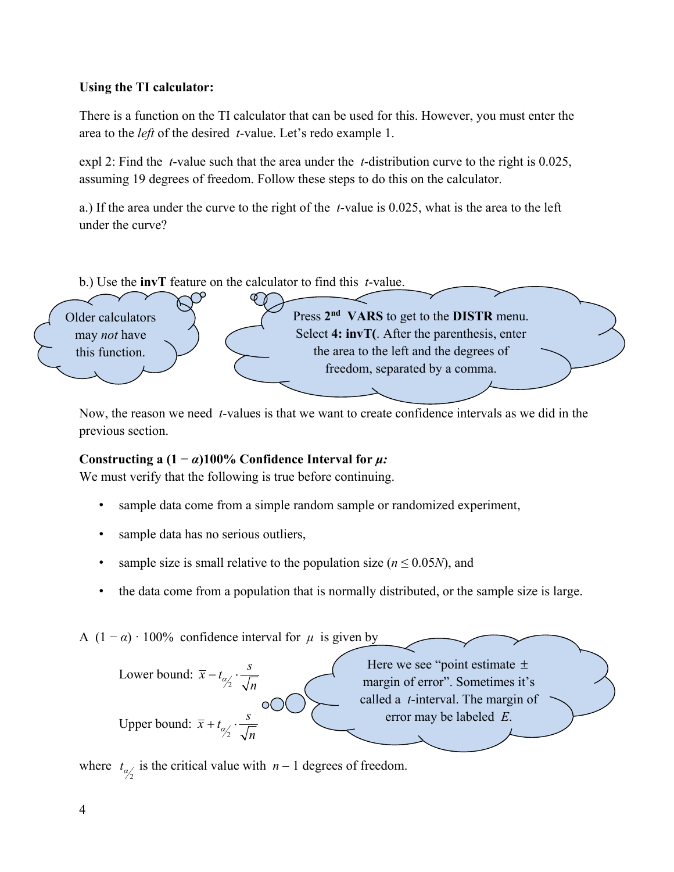## **Using the TI calculator:**

There is a function on the TI calculator that can be used for this. However, you must enter the area to the *left* of the desired *t*-value. Let's redo example 1.

expl 2: Find the *t*-value such that the area under the *t*-distribution curve to the right is 0.025, assuming 19 degrees of freedom. Follow these steps to do this on the calculator.

a.) If the area under the curve to the right of the *t*-value is 0.025, what is the area to the left under the curve?

b.) Use the **invT** feature on the calculator to find this *t*-value.



Now, the reason we need *t*-values is that we want to create confidence intervals as we did in the previous section.

# **Constructing a**  $(1 - \alpha)100\%$  **Confidence Interval for**  $\mu$ :

We must verify that the following is true before continuing.

- sample data come from a simple random sample or randomized experiment,
- sample data has no serious outliers,
- sample size is small relative to the population size ( $n \le 0.05N$ ), and
- the data come from a population that is normally distributed, or the sample size is large.

A  $(1 - \alpha) \cdot 100\%$  confidence interval for  $\mu$  is given by



where  $t_{\alpha/2}$  is the critical value with  $n-1$  degrees of freedom.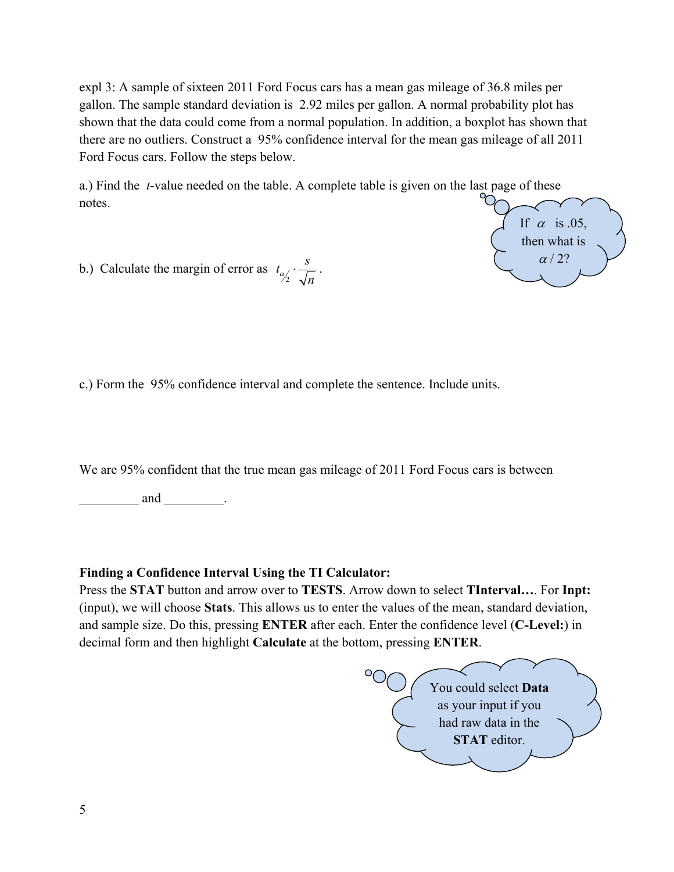expl 3: A sample of sixteen 2011 Ford Focus cars has a mean gas mileage of 36.8 miles per gallon. The sample standard deviation is 2.92 miles per gallon. A normal probability plot has shown that the data could come from a normal population. In addition, a boxplot has shown that there are no outliers. Construct a 95% confidence interval for the mean gas mileage of all 2011 Ford Focus cars. Follow the steps below.

a.) Find the *t*-value needed on the table. A complete table is given on the last page of these notes.



b.) Calculate the margin of error as  $t_{\alpha/2}$  $t_{\alpha/2} \cdot \frac{s}{\sqrt{n}}$ .

c.) Form the 95% confidence interval and complete the sentence. Include units.

We are 95% confident that the true mean gas mileage of 2011 Ford Focus cars is between

and  $\qquad \qquad$ .

## **Finding a Confidence Interval Using the TI Calculator:**

Press the **STAT** button and arrow over to **TESTS**. Arrow down to select **TInterval…**. For **Inpt:** (input), we will choose **Stats**. This allows us to enter the values of the mean, standard deviation, and sample size. Do this, pressing **ENTER** after each. Enter the confidence level (**C-Level:**) in decimal form and then highlight **Calculate** at the bottom, pressing **ENTER**.

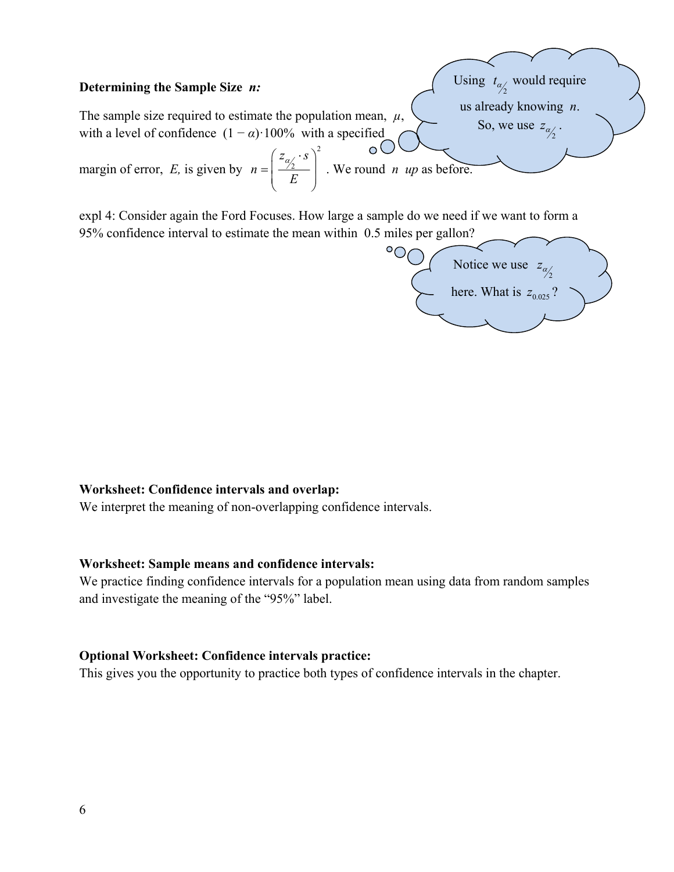#### **Determining the Sample Size** *n:*

The sample size required to estimate the population mean, *µ*, with a level of confidence  $(1 - \alpha)$  100% with a specified

margin of error, *E,* is given by 2  $z_{\alpha/2} \cdot s$ *n E*  $\left( z_{\alpha} \cdot s \right)$  $=\left(\frac{\gamma_2}{E}\right)$ . We round *n up* as before.

expl 4: Consider again the Ford Focuses. How large a sample do we need if we want to form a 95% confidence interval to estimate the mean within 0.5 miles per gallon?



Using  $t_{\alpha/2}$  would require us already knowing *n*.

So, we use  $z_{\alpha/2}$ .

### **Worksheet: Confidence intervals and overlap:**

We interpret the meaning of non-overlapping confidence intervals.

#### **Worksheet: Sample means and confidence intervals:**

We practice finding confidence intervals for a population mean using data from random samples and investigate the meaning of the "95%" label.

#### **Optional Worksheet: Confidence intervals practice:**

This gives you the opportunity to practice both types of confidence intervals in the chapter.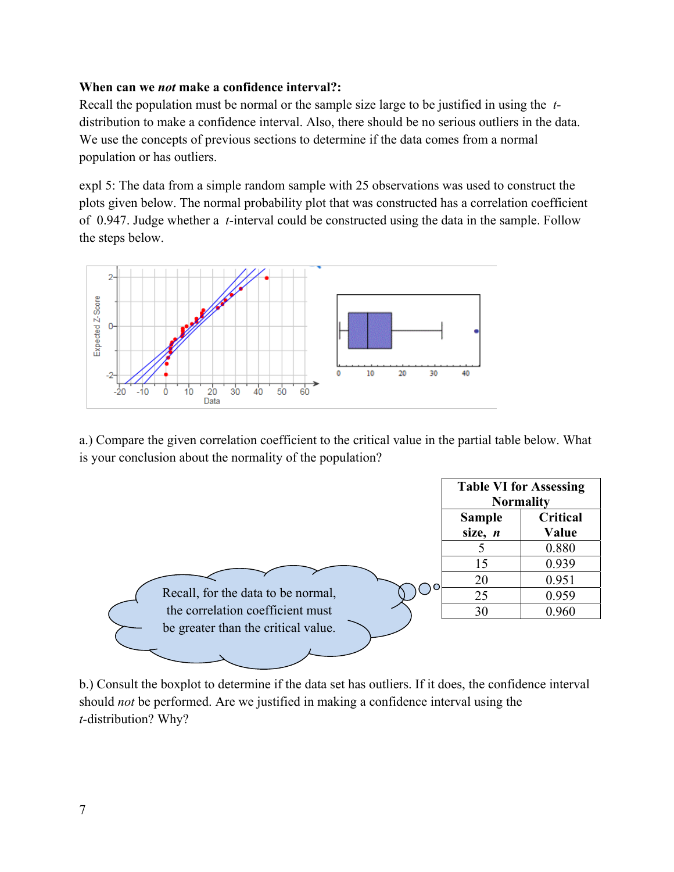### **When can we** *not* **make a confidence interval?:**

Recall the population must be normal or the sample size large to be justified in using the *t*distribution to make a confidence interval. Also, there should be no serious outliers in the data. We use the concepts of previous sections to determine if the data comes from a normal population or has outliers.

expl 5: The data from a simple random sample with 25 observations was used to construct the plots given below. The normal probability plot that was constructed has a correlation coefficient of 0.947. Judge whether a *t*-interval could be constructed using the data in the sample. Follow the steps below.



a.) Compare the given correlation coefficient to the critical value in the partial table below. What is your conclusion about the normality of the population?



b.) Consult the boxplot to determine if the data set has outliers. If it does, the confidence interval should *not* be performed. Are we justified in making a confidence interval using the *t-*distribution? Why?